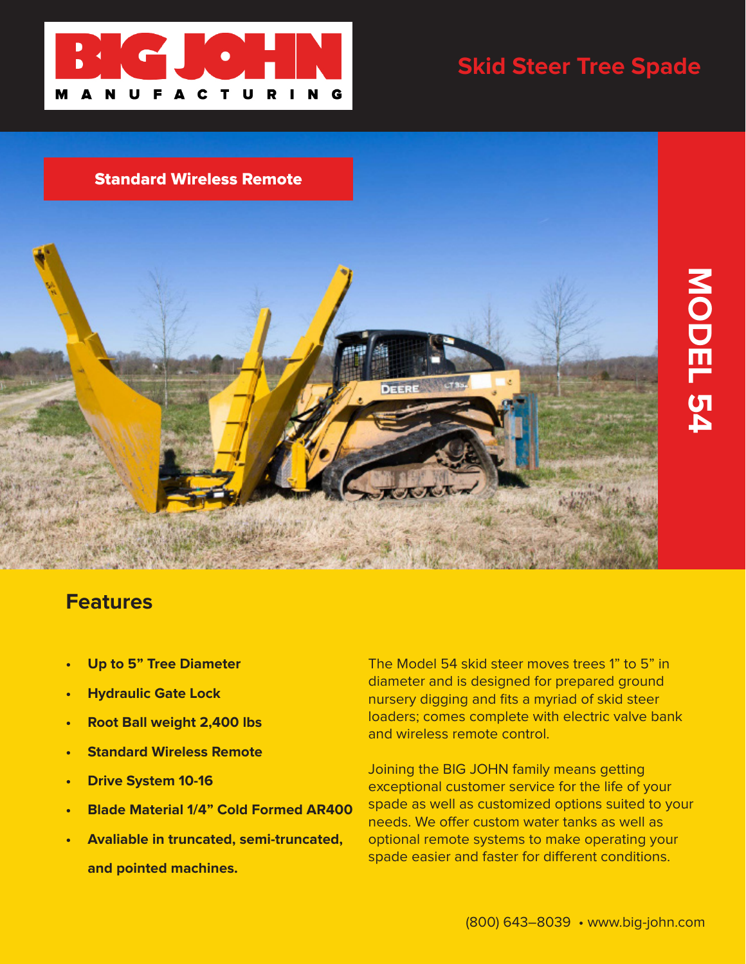

## **Skid Steer Tree Spade**

**MODEL 54**



## **Features**

- **• Up to 5" Tree Diameter**
- **• Hydraulic Gate Lock**
- **• Root Ball weight 2,400 lbs**
- **• Standard Wireless Remote**
- **• Drive System 10-16**
- **• Blade Material 1/4" Cold Formed AR400**
- **• Avaliable in truncated, semi-truncated, and pointed machines.**

The Model 54 skid steer moves trees 1" to 5" in diameter and is designed for prepared ground nursery digging and fits a myriad of skid steer loaders; comes complete with electric valve bank and wireless remote control.

Joining the BIG JOHN family means getting exceptional customer service for the life of your spade as well as customized options suited to your needs. We offer custom water tanks as well as optional remote systems to make operating your spade easier and faster for different conditions.